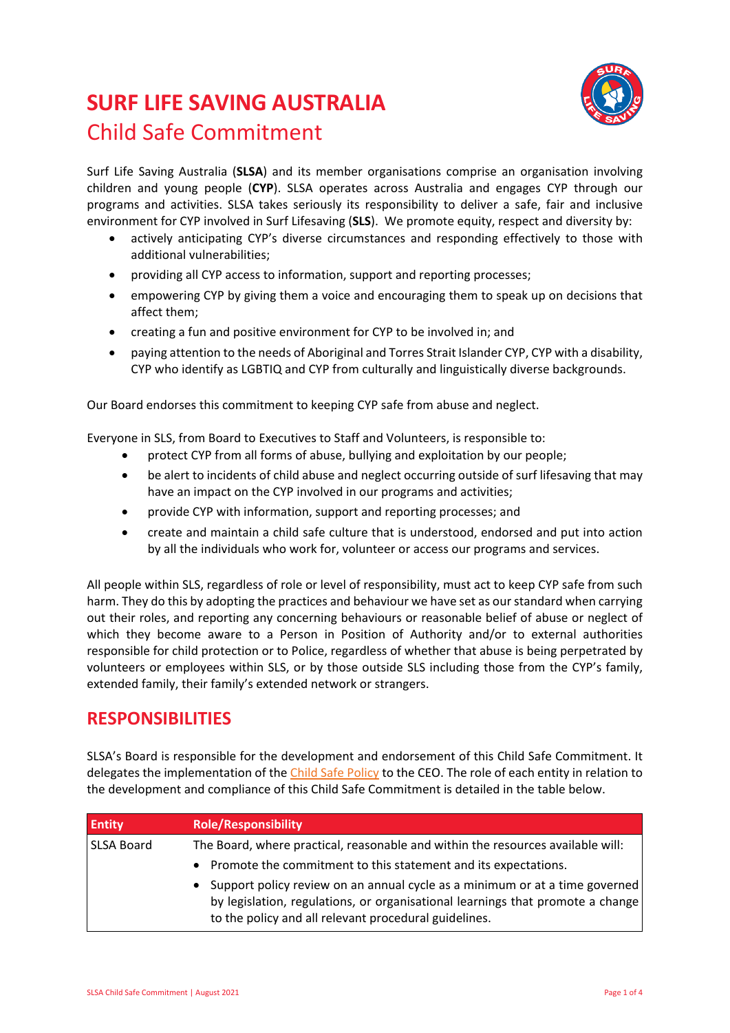# **SURF LIFE SAVING AUSTRALIA**  Child Safe Commitment



Surf Life Saving Australia (**SLSA**) and its member organisations comprise an organisation involving children and young people (**CYP**). SLSA operates across Australia and engages CYP through our programs and activities. SLSA takes seriously its responsibility to deliver a safe, fair and inclusive environment for CYP involved in Surf Lifesaving (**SLS**). We promote equity, respect and diversity by:

- actively anticipating CYP's diverse circumstances and responding effectively to those with additional vulnerabilities;
- providing all CYP access to information, support and reporting processes;
- empowering CYP by giving them a voice and encouraging them to speak up on decisions that affect them;
- creating a fun and positive environment for CYP to be involved in; and
- paying attention to the needs of Aboriginal and Torres Strait Islander CYP, CYP with a disability, CYP who identify as LGBTIQ and CYP from culturally and linguistically diverse backgrounds.

Our Board endorses this commitment to keeping CYP safe from abuse and neglect.

Everyone in SLS, from Board to Executives to Staff and Volunteers, is responsible to:

- protect CYP from all forms of abuse, bullying and exploitation by our people;
- be alert to incidents of child abuse and neglect occurring outside of surf lifesaving that may have an impact on the CYP involved in our programs and activities;
- provide CYP with information, support and reporting processes; and
- create and maintain a child safe culture that is understood, endorsed and put into action by all the individuals who work for, volunteer or access our programs and services.

All people within SLS, regardless of role or level of responsibility, must act to keep CYP safe from such harm. They do this by adopting the practices and behaviour we have set as our standard when carrying out their roles, and reporting any concerning behaviours or reasonable belief of abuse or neglect of which they become aware to a Person in Position of Authority and/or to external authorities responsible for child protection or to Police, regardless of whether that abuse is being perpetrated by volunteers or employees within SLS, or by those outside SLS including those from the CYP's family, extended family, their family's extended network or strangers.

# **RESPONSIBILITIES**

SLSA's Board is responsible for the development and endorsement of this Child Safe Commitment. It delegates the implementation of the Child Safe Policy to the CEO. The role of each entity in relation to the development and compliance of this Child Safe Commitment is detailed in the table below.

| <b>Entity</b> | <b>Role/Responsibility</b>                                                                                                                                                                                             |
|---------------|------------------------------------------------------------------------------------------------------------------------------------------------------------------------------------------------------------------------|
| SLSA Board    | The Board, where practical, reasonable and within the resources available will:                                                                                                                                        |
|               | Promote the commitment to this statement and its expectations.                                                                                                                                                         |
|               | Support policy review on an annual cycle as a minimum or at a time governed<br>by legislation, regulations, or organisational learnings that promote a change<br>to the policy and all relevant procedural guidelines. |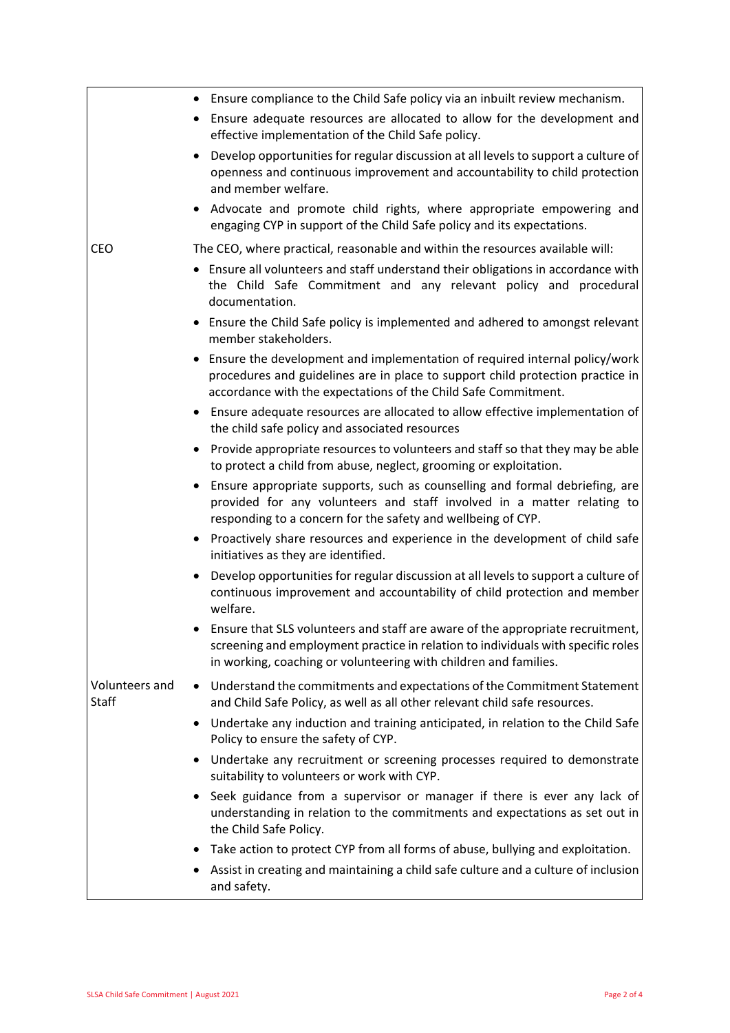|                                | • Ensure compliance to the Child Safe policy via an inbuilt review mechanism.                                                                                                                                                                       |
|--------------------------------|-----------------------------------------------------------------------------------------------------------------------------------------------------------------------------------------------------------------------------------------------------|
|                                | Ensure adequate resources are allocated to allow for the development and<br>effective implementation of the Child Safe policy.                                                                                                                      |
|                                | Develop opportunities for regular discussion at all levels to support a culture of<br>openness and continuous improvement and accountability to child protection<br>and member welfare.                                                             |
|                                | Advocate and promote child rights, where appropriate empowering and<br>٠<br>engaging CYP in support of the Child Safe policy and its expectations.                                                                                                  |
| <b>CEO</b>                     | The CEO, where practical, reasonable and within the resources available will:                                                                                                                                                                       |
|                                | • Ensure all volunteers and staff understand their obligations in accordance with<br>the Child Safe Commitment and any relevant policy and procedural<br>documentation.                                                                             |
|                                | Ensure the Child Safe policy is implemented and adhered to amongst relevant<br>member stakeholders.                                                                                                                                                 |
|                                | Ensure the development and implementation of required internal policy/work<br>procedures and guidelines are in place to support child protection practice in<br>accordance with the expectations of the Child Safe Commitment.                      |
|                                | Ensure adequate resources are allocated to allow effective implementation of<br>٠<br>the child safe policy and associated resources                                                                                                                 |
|                                | Provide appropriate resources to volunteers and staff so that they may be able<br>٠<br>to protect a child from abuse, neglect, grooming or exploitation.                                                                                            |
|                                | Ensure appropriate supports, such as counselling and formal debriefing, are<br>٠<br>provided for any volunteers and staff involved in a matter relating to<br>responding to a concern for the safety and wellbeing of CYP.                          |
|                                | Proactively share resources and experience in the development of child safe<br>٠<br>initiatives as they are identified.                                                                                                                             |
|                                | Develop opportunities for regular discussion at all levels to support a culture of<br>continuous improvement and accountability of child protection and member<br>welfare.                                                                          |
|                                | Ensure that SLS volunteers and staff are aware of the appropriate recruitment,<br>$\bullet$<br>screening and employment practice in relation to individuals with specific roles<br>in working, coaching or volunteering with children and families. |
| Volunteers and<br><b>Staff</b> | Understand the commitments and expectations of the Commitment Statement<br>٠<br>and Child Safe Policy, as well as all other relevant child safe resources.                                                                                          |
|                                | Undertake any induction and training anticipated, in relation to the Child Safe<br>Policy to ensure the safety of CYP.                                                                                                                              |
|                                | Undertake any recruitment or screening processes required to demonstrate<br>٠<br>suitability to volunteers or work with CYP.                                                                                                                        |
|                                | Seek guidance from a supervisor or manager if there is ever any lack of<br>٠<br>understanding in relation to the commitments and expectations as set out in<br>the Child Safe Policy.                                                               |
|                                | Take action to protect CYP from all forms of abuse, bullying and exploitation.<br>٠                                                                                                                                                                 |
|                                | Assist in creating and maintaining a child safe culture and a culture of inclusion<br>and safety.                                                                                                                                                   |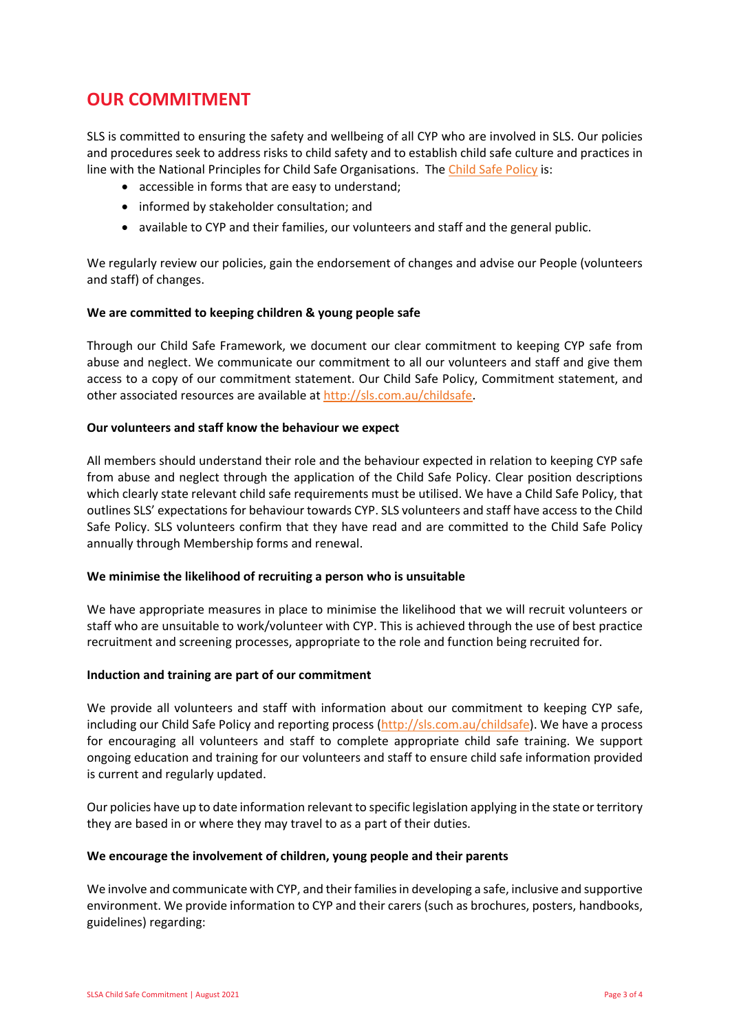# **OUR COMMITMENT**

SLS is committed to ensuring the safety and wellbeing of all CYP who are involved in SLS. Our policies and procedures seek to address risks to child safety and to establish child safe culture and practices in line with the National Principles for Child Safe Organisations. The Child Safe Policy is:

- accessible in forms that are easy to understand;
- informed by stakeholder consultation; and
- available to CYP and their families, our volunteers and staff and the general public.

We regularly review our policies, gain the endorsement of changes and advise our People (volunteers and staff) of changes.

## **We are committed to keeping children & young people safe**

Through our Child Safe Framework, we document our clear commitment to keeping CYP safe from abuse and neglect. We communicate our commitment to all our volunteers and staff and give them access to a copy of our commitment statement. Our Child Safe Policy, Commitment statement, and other associated resources are available at [http://sls.com.au/childsafe.](http://sls.com.au/childsafe)

#### **Our volunteers and staff know the behaviour we expect**

All members should understand their role and the behaviour expected in relation to keeping CYP safe from abuse and neglect through the application of the Child Safe Policy. Clear position descriptions which clearly state relevant child safe requirements must be utilised. We have a Child Safe Policy, that outlines SLS' expectations for behaviour towards CYP. SLS volunteers and staff have access to the Child Safe Policy. SLS volunteers confirm that they have read and are committed to the Child Safe Policy annually through Membership forms and renewal.

## **We minimise the likelihood of recruiting a person who is unsuitable**

We have appropriate measures in place to minimise the likelihood that we will recruit volunteers or staff who are unsuitable to work/volunteer with CYP. This is achieved through the use of best practice recruitment and screening processes, appropriate to the role and function being recruited for.

#### **Induction and training are part of our commitment**

We provide all volunteers and staff with information about our commitment to keeping CYP safe, including our Child Safe Policy and reporting process [\(http://sls.com.au/childsafe\)](http://sls.com.au/childsafe). We have a process for encouraging all volunteers and staff to complete appropriate child safe training. We support ongoing education and training for our volunteers and staff to ensure child safe information provided is current and regularly updated.

Our policies have up to date information relevant to specific legislation applying in the state or territory they are based in or where they may travel to as a part of their duties.

#### **We encourage the involvement of children, young people and their parents**

We involve and communicate with CYP, and their families in developing a safe, inclusive and supportive environment. We provide information to CYP and their carers (such as brochures, posters, handbooks, guidelines) regarding: